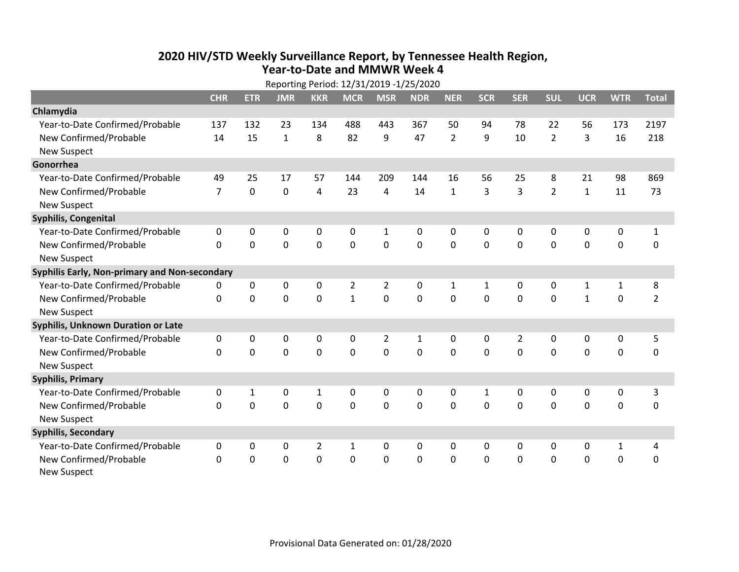## **2020 HIV /STD Weekly Surveillance Report, by Tennessee Health Region, Year‐to‐Date and MMWR Week 4** Reporting Period: 12/31/2019 ‐1/25/2020

| Reporting Period: 12/31/2019 -1/25/2020 |                                               |              |                |                |                |                |             |                |              |                |                |              |              |                |
|-----------------------------------------|-----------------------------------------------|--------------|----------------|----------------|----------------|----------------|-------------|----------------|--------------|----------------|----------------|--------------|--------------|----------------|
|                                         | <b>CHR</b>                                    | <b>ETR</b>   | <b>JMR</b>     | <b>KKR</b>     | <b>MCR</b>     | <b>MSR</b>     | <b>NDR</b>  | <b>NER</b>     | <b>SCR</b>   | <b>SER</b>     | <b>SUL</b>     | <b>UCR</b>   | <b>WTR</b>   | <b>Total</b>   |
| Chlamydia                               |                                               |              |                |                |                |                |             |                |              |                |                |              |              |                |
| Year-to-Date Confirmed/Probable         | 137                                           | 132          | 23             | 134            | 488            | 443            | 367         | 50             | 94           | 78             | 22             | 56           | 173          | 2197           |
| New Confirmed/Probable                  | 14                                            | 15           | $\mathbf{1}$   | 8              | 82             | 9              | 47          | $\overline{2}$ | 9            | 10             | $\overline{2}$ | 3            | 16           | 218            |
| <b>New Suspect</b>                      |                                               |              |                |                |                |                |             |                |              |                |                |              |              |                |
| Gonorrhea                               |                                               |              |                |                |                |                |             |                |              |                |                |              |              |                |
| Year-to-Date Confirmed/Probable         | 49                                            | 25           | 17             | 57             | 144            | 209            | 144         | 16             | 56           | 25             | 8              | 21           | 98           | 869            |
| New Confirmed/Probable                  | $\overline{7}$                                | $\mathbf 0$  | 0              | 4              | 23             | 4              | 14          | $\mathbf{1}$   | 3            | 3              | $\overline{2}$ | $\mathbf{1}$ | 11           | 73             |
| <b>New Suspect</b>                      |                                               |              |                |                |                |                |             |                |              |                |                |              |              |                |
| <b>Syphilis, Congenital</b>             |                                               |              |                |                |                |                |             |                |              |                |                |              |              |                |
| Year-to-Date Confirmed/Probable         | 0                                             | 0            | 0              | 0              | 0              | $\mathbf{1}$   | 0           | 0              | 0            | 0              | 0              | 0            | 0            | $\mathbf{1}$   |
| New Confirmed/Probable                  | $\Omega$                                      | 0            | 0              | 0              | 0              | $\mathbf 0$    | 0           | $\Omega$       | $\Omega$     | $\Omega$       | $\mathbf 0$    | $\mathbf 0$  | $\mathbf 0$  | 0              |
| <b>New Suspect</b>                      |                                               |              |                |                |                |                |             |                |              |                |                |              |              |                |
|                                         | Syphilis Early, Non-primary and Non-secondary |              |                |                |                |                |             |                |              |                |                |              |              |                |
| Year-to-Date Confirmed/Probable         | 0                                             | 0            | 0              | 0              | $\overline{2}$ | $\overline{2}$ | 0           | 1              | $\mathbf{1}$ | 0              | 0              | $\mathbf{1}$ | $\mathbf{1}$ | 8              |
| New Confirmed/Probable                  | $\Omega$                                      | $\Omega$     | 0              | 0              | $\mathbf{1}$   | $\mathbf 0$    | 0           | $\Omega$       | $\Omega$     | $\mathbf 0$    | 0              | $\mathbf{1}$ | $\mathbf 0$  | $\overline{2}$ |
| <b>New Suspect</b>                      |                                               |              |                |                |                |                |             |                |              |                |                |              |              |                |
| Syphilis, Unknown Duration or Late      |                                               |              |                |                |                |                |             |                |              |                |                |              |              |                |
| Year-to-Date Confirmed/Probable         | 0                                             | 0            | 0              | 0              | 0              | $\overline{2}$ | 1           | $\mathbf{0}$   | 0            | $\overline{2}$ | $\mathbf{0}$   | 0            | 0            | 5              |
| New Confirmed/Probable                  | 0                                             | $\mathbf 0$  | $\overline{0}$ | 0              | $\mathbf 0$    | $\mathbf 0$    | $\mathbf 0$ | $\Omega$       | $\Omega$     | $\mathbf{0}$   | $\mathbf 0$    | $\mathbf 0$  | $\mathbf 0$  | 0              |
| <b>New Suspect</b>                      |                                               |              |                |                |                |                |             |                |              |                |                |              |              |                |
| <b>Syphilis, Primary</b>                |                                               |              |                |                |                |                |             |                |              |                |                |              |              |                |
| Year-to-Date Confirmed/Probable         | 0                                             | $\mathbf{1}$ | 0              | $\mathbf 1$    | 0              | 0              | 0           | $\mathbf{0}$   | $\mathbf{1}$ | $\mathbf{0}$   | $\mathbf{0}$   | $\mathbf{0}$ | 0            | 3              |
| New Confirmed/Probable                  | $\Omega$                                      | $\mathbf 0$  | $\mathbf 0$    | 0              | $\mathbf 0$    | $\mathbf 0$    | $\Omega$    | $\Omega$       | $\Omega$     | $\mathbf{0}$   | $\Omega$       | $\mathbf 0$  | $\mathbf 0$  | $\mathbf 0$    |
| <b>New Suspect</b>                      |                                               |              |                |                |                |                |             |                |              |                |                |              |              |                |
| <b>Syphilis, Secondary</b>              |                                               |              |                |                |                |                |             |                |              |                |                |              |              |                |
| Year-to-Date Confirmed/Probable         | 0                                             | 0            | 0              | $\overline{2}$ | 1              | 0              | 0           | $\mathbf{0}$   | 0            | 0              | 0              | 0            | $\mathbf{1}$ | 4              |
| New Confirmed/Probable                  | 0                                             | 0            | 0              | 0              | 0              | 0              | 0           | $\Omega$       | $\Omega$     | $\mathbf 0$    | $\mathbf 0$    | 0            | $\mathbf 0$  | 0              |
| New Suspect                             |                                               |              |                |                |                |                |             |                |              |                |                |              |              |                |